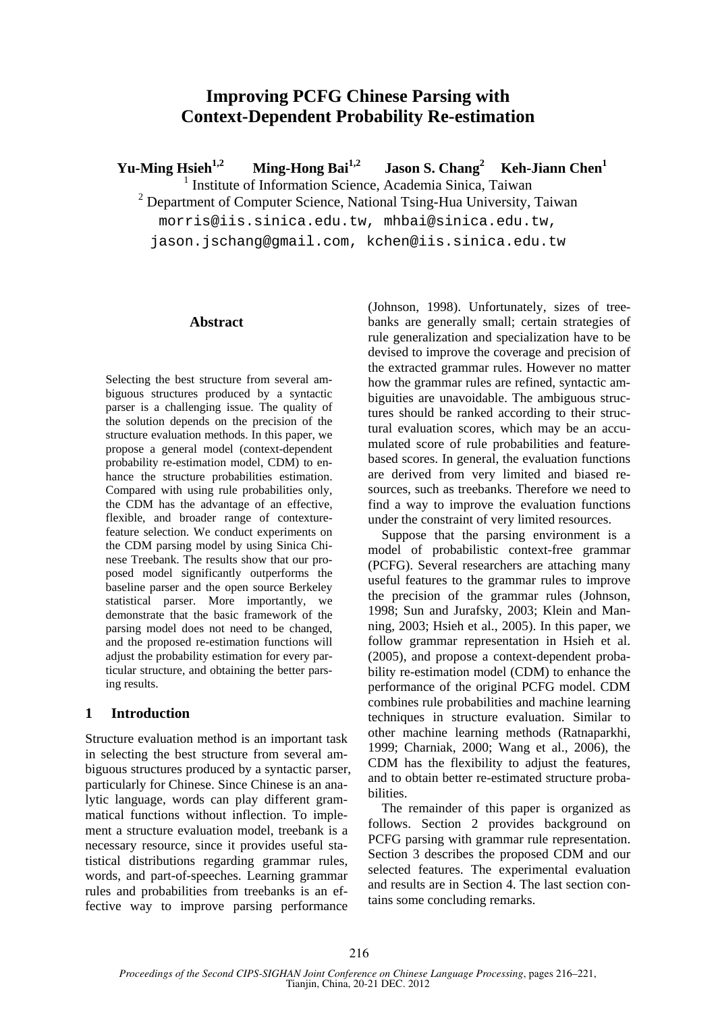# **Improving PCFG Chinese Parsing with Context-Dependent Probability Re-estimation**

Yu-Ming Hsieh<sup>1,2</sup> Ming-Hong Bai<sup>1,2</sup> Jason S. Chang<sup>2</sup> Keh-Jiann Chen<sup>1</sup>

1 Institute of Information Science, Academia Sinica, Taiwan

<sup>2</sup> Department of Computer Science, National Tsing-Hua University, Taiwan

morris@iis.sinica.edu.tw, mhbai@sinica.edu.tw,

jason.jschang@gmail.com, kchen@iis.sinica.edu.tw

#### **Abstract**

Selecting the best structure from several ambiguous structures produced by a syntactic parser is a challenging issue. The quality of the solution depends on the precision of the structure evaluation methods. In this paper, we propose a general model (context-dependent probability re-estimation model, CDM) to enhance the structure probabilities estimation. Compared with using rule probabilities only, the CDM has the advantage of an effective, flexible, and broader range of contexturefeature selection. We conduct experiments on the CDM parsing model by using Sinica Chinese Treebank. The results show that our proposed model significantly outperforms the baseline parser and the open source Berkeley statistical parser. More importantly, we demonstrate that the basic framework of the parsing model does not need to be changed, and the proposed re-estimation functions will adjust the probability estimation for every particular structure, and obtaining the better parsing results.

# **1 Introduction**

Structure evaluation method is an important task in selecting the best structure from several ambiguous structures produced by a syntactic parser, particularly for Chinese. Since Chinese is an analytic language, words can play different grammatical functions without inflection. To implement a structure evaluation model, treebank is a necessary resource, since it provides useful statistical distributions regarding grammar rules, words, and part-of-speeches. Learning grammar rules and probabilities from treebanks is an effective way to improve parsing performance

(Johnson, 1998). Unfortunately, sizes of treebanks are generally small; certain strategies of rule generalization and specialization have to be devised to improve the coverage and precision of the extracted grammar rules. However no matter how the grammar rules are refined, syntactic ambiguities are unavoidable. The ambiguous structures should be ranked according to their structural evaluation scores, which may be an accumulated score of rule probabilities and featurebased scores. In general, the evaluation functions are derived from very limited and biased resources, such as treebanks. Therefore we need to find a way to improve the evaluation functions under the constraint of very limited resources.

Suppose that the parsing environment is a model of probabilistic context-free grammar (PCFG). Several researchers are attaching many useful features to the grammar rules to improve the precision of the grammar rules (Johnson, 1998; Sun and Jurafsky, 2003; Klein and Manning, 2003; Hsieh et al., 2005). In this paper, we follow grammar representation in Hsieh et al. (2005), and propose a context-dependent probability re-estimation model (CDM) to enhance the performance of the original PCFG model. CDM combines rule probabilities and machine learning techniques in structure evaluation. Similar to other machine learning methods (Ratnaparkhi, 1999; Charniak, 2000; Wang et al., 2006), the CDM has the flexibility to adjust the features, and to obtain better re-estimated structure probabilities.

The remainder of this paper is organized as follows. Section 2 provides background on PCFG parsing with grammar rule representation. Section 3 describes the proposed CDM and our selected features. The experimental evaluation and results are in Section 4. The last section contains some concluding remarks.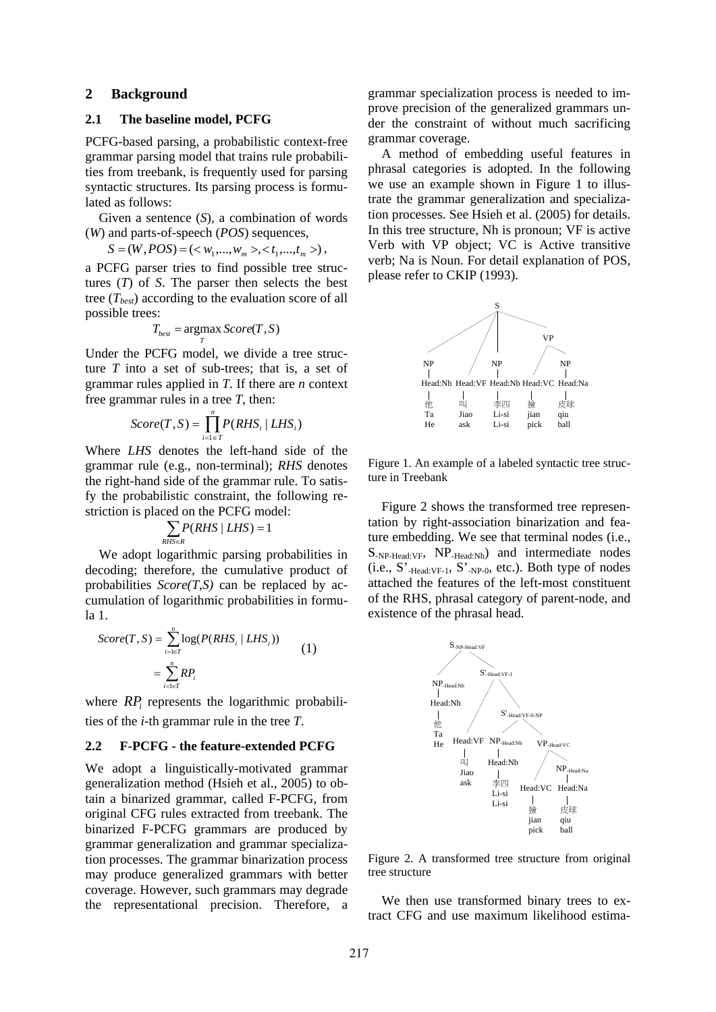### **2 Background**

#### **2.1 The baseline model, PCFG**

PCFG-based parsing, a probabilistic context-free grammar parsing model that trains rule probabilities from treebank, is frequently used for parsing syntactic structures. Its parsing process is formulated as follows:

Given a sentence (*S*), a combination of words (*W*) and parts-of-speech (*POS*) sequences,

$$
S = (W, POS) = (\langle w_1,...,w_m \rangle, \langle t_1,...,t_m \rangle),
$$

a PCFG parser tries to find possible tree structures (*T*) of *S*. The parser then selects the best tree  $(T_{best})$  according to the evaluation score of all possible trees:

$$
T_{best} = \underset{T}{\text{argmax}} Score(T, S)
$$

Under the PCFG model, we divide a tree structure *T* into a set of sub-trees; that is, a set of grammar rules applied in *T*. If there are *n* context free grammar rules in a tree *T*, then:

$$
Score(T, S) = \prod_{i=1}^{n} P(RHS_i | LHS_i)
$$

Where *LHS* denotes the left-hand side of the grammar rule (e.g., non-terminal); *RHS* denotes the right-hand side of the grammar rule. To satisfy the probabilistic constraint, the following restriction is placed on the PCFG model:

$$
\sum_{RHS \in R} P(RHS \mid LHS) = 1
$$

We adopt logarithmic parsing probabilities in decoding; therefore, the cumulative product of probabilities  $Score(T, S)$  can be replaced by accumulation of logarithmic probabilities in formula 1.

$$
Score(T, S) = \sum_{i=l\in T}^{n} \log(P(RHS_i | LHS_i))
$$
  
= 
$$
\sum_{i=l\in T}^{n} RP_i
$$
 (1)

where *RP<sub>i</sub>* represents the logarithmic probabilities of the *i*-th grammar rule in the tree *T*.

#### **2.2 F-PCFG - the feature-extended PCFG**

We adopt a linguistically-motivated grammar generalization method (Hsieh et al., 2005) to obtain a binarized grammar, called F-PCFG, from original CFG rules extracted from treebank. The binarized F-PCFG grammars are produced by grammar generalization and grammar specialization processes. The grammar binarization process may produce generalized grammars with better coverage. However, such grammars may degrade the representational precision. Therefore, a grammar specialization process is needed to improve precision of the generalized grammars under the constraint of without much sacrificing grammar coverage.

A method of embedding useful features in phrasal categories is adopted. In the following we use an example shown in Figure 1 to illustrate the grammar generalization and specialization processes. See Hsieh et al. (2005) for details. In this tree structure, Nh is pronoun; VF is active Verb with VP object; VC is Active transitive verb; Na is Noun. For detail explanation of POS, please refer to CKIP (1993).



Figure 1. An example of a labeled syntactic tree structure in Treebank

Figure 2 shows the transformed tree representation by right-association binarization and feature embedding. We see that terminal nodes (i.e.,  $S_{-NP\text{-Head:VF}}$ ,  $NP_{\text{-Head:Nh}}$  and intermediate nodes  $(i.e., S'_{\text{-Head:VF-1}}, S'_{\text{-NP-0}}, etc.).$  Both type of nodes attached the features of the left-most constituent of the RHS, phrasal category of parent-node, and existence of the phrasal head.



Figure 2. A transformed tree structure from original tree structure

We then use transformed binary trees to extract CFG and use maximum likelihood estima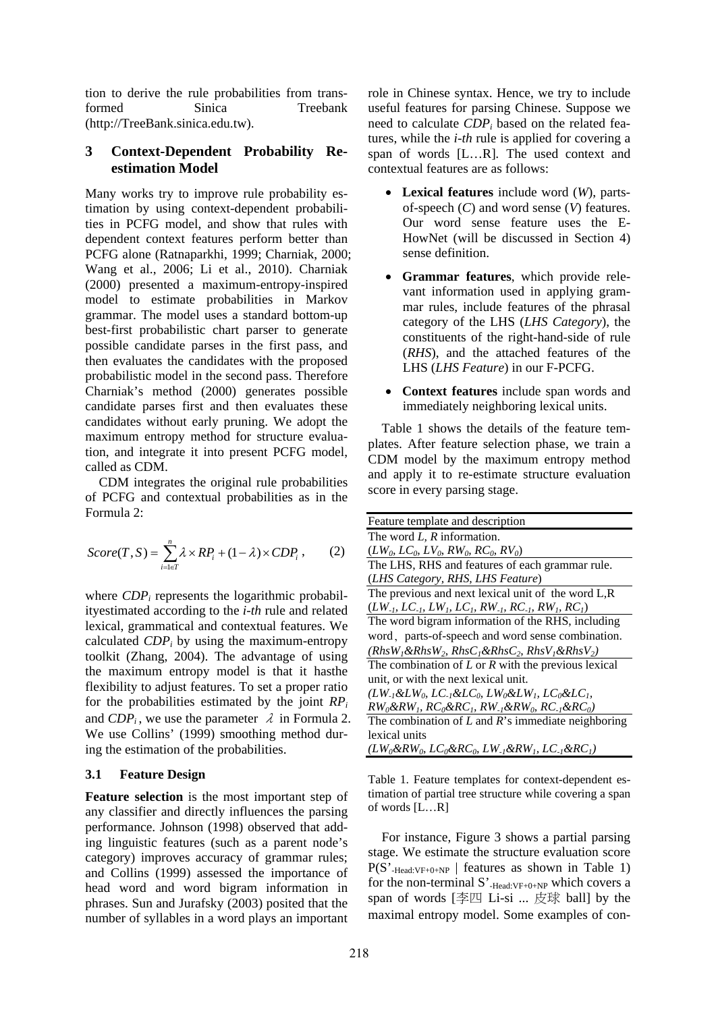tion to derive the rule probabilities from transformed Sinica Treebank (http://TreeBank.sinica.edu.tw).

# **3 Context-Dependent Probability Reestimation Model**

Many works try to improve rule probability estimation by using context-dependent probabilities in PCFG model, and show that rules with dependent context features perform better than PCFG alone (Ratnaparkhi, 1999; Charniak, 2000; Wang et al., 2006; Li et al., 2010). Charniak (2000) presented a maximum-entropy-inspired model to estimate probabilities in Markov grammar. The model uses a standard bottom-up best-first probabilistic chart parser to generate possible candidate parses in the first pass, and then evaluates the candidates with the proposed probabilistic model in the second pass. Therefore Charniak's method (2000) generates possible candidate parses first and then evaluates these candidates without early pruning. We adopt the maximum entropy method for structure evaluation, and integrate it into present PCFG model, called as CDM.

CDM integrates the original rule probabilities of PCFG and contextual probabilities as in the Formula 2:

$$
Score(T, S) = \sum_{i=l\in T}^{n} \lambda \times RP_i + (1 - \lambda) \times CDP_i , \qquad (2)
$$

where *CDP<sub>i</sub>* represents the logarithmic probabilityestimated according to the *i-th* rule and related lexical, grammatical and contextual features. We calculated *CDPi* by using the maximum-entropy toolkit (Zhang, 2004). The advantage of using the maximum entropy model is that it hasthe flexibility to adjust features. To set a proper ratio for the probabilities estimated by the joint  $RP_i$ and  $CDP_i$ , we use the parameter  $\lambda$  in Formula 2. We use Collins' (1999) smoothing method during the estimation of the probabilities.

# **3.1 Feature Design**

**Feature selection** is the most important step of any classifier and directly influences the parsing performance. Johnson (1998) observed that adding linguistic features (such as a parent node's category) improves accuracy of grammar rules; and Collins (1999) assessed the importance of head word and word bigram information in phrases. Sun and Jurafsky (2003) posited that the number of syllables in a word plays an important

role in Chinese syntax. Hence, we try to include useful features for parsing Chinese. Suppose we need to calculate *CDPi* based on the related features, while the *i-th* rule is applied for covering a span of words [L…R]*.* The used context and contextual features are as follows:

- **Lexical features** include word (*W*), partsof-speech (*C*) and word sense (*V*) features. Our word sense feature uses the E-HowNet (will be discussed in Section 4) sense definition.
- **Grammar features**, which provide relevant information used in applying grammar rules, include features of the phrasal category of the LHS (*LHS Category*), the constituents of the right-hand-side of rule (*RHS*), and the attached features of the LHS (*LHS Feature*) in our F-PCFG.
- **Context features** include span words and immediately neighboring lexical units.

Table 1 shows the details of the feature templates. After feature selection phase, we train a CDM model by the maximum entropy method and apply it to re-estimate structure evaluation score in every parsing stage.

| Feature template and description                                        |
|-------------------------------------------------------------------------|
| The word $L$ , $R$ information.                                         |
| $(LW_0, LC_0, LV_0, RW_0, RC_0, RV_0)$                                  |
| The LHS, RHS and features of each grammar rule.                         |
| (LHS Category, RHS, LHS Feature)                                        |
| The previous and next lexical unit of the word L,R                      |
| $(LW_{-l}, LC_{-l}, LW_{l}, LC_{l}, RW_{l}, RC_{-l}, RW_{l}, RC_{l})$   |
| The word bigram information of the RHS, including                       |
| word, parts-of-speech and word sense combination.                       |
| $(Rh s W1 \& Rh s W2, Rh s C1 \& Rh s C2, Rh s V1 \& Rh s V2$           |
| The combination of $L$ or $R$ with the previous lexical                 |
| unit, or with the next lexical unit.                                    |
| $(LW_{-1}\&LW_0, LC_{-1}\&LC_0, LW_0\&LW_1, LC_0\&LC_1,$                |
| $RW_0\&RW_1$ , $RC_0\&RC_1$ , $RW_{\perp}\&RW_0$ , $RC_{\perp}\&RC_0$ ) |
| The combination of $L$ and $R$ 's immediate neighboring                 |
| lexical units                                                           |
| $(LW_0 \&RW_0, LC_0 \& RC_0, LW_{\perp} \&RW_1, LC_{\perp} \& RC_1)$    |

Table 1. Feature templates for context-dependent estimation of partial tree structure while covering a span of words [L…R]

For instance, Figure 3 shows a partial parsing stage. We estimate the structure evaluation score  $P(S'_{\text{Head:VF+0+NP}} \mid \text{features as shown in Table 1})$ for the non-terminal S'<sub>-Head:VF+0+NP</sub> which covers a span of words [李四 Li-si ... 皮球 ball] by the maximal entropy model. Some examples of con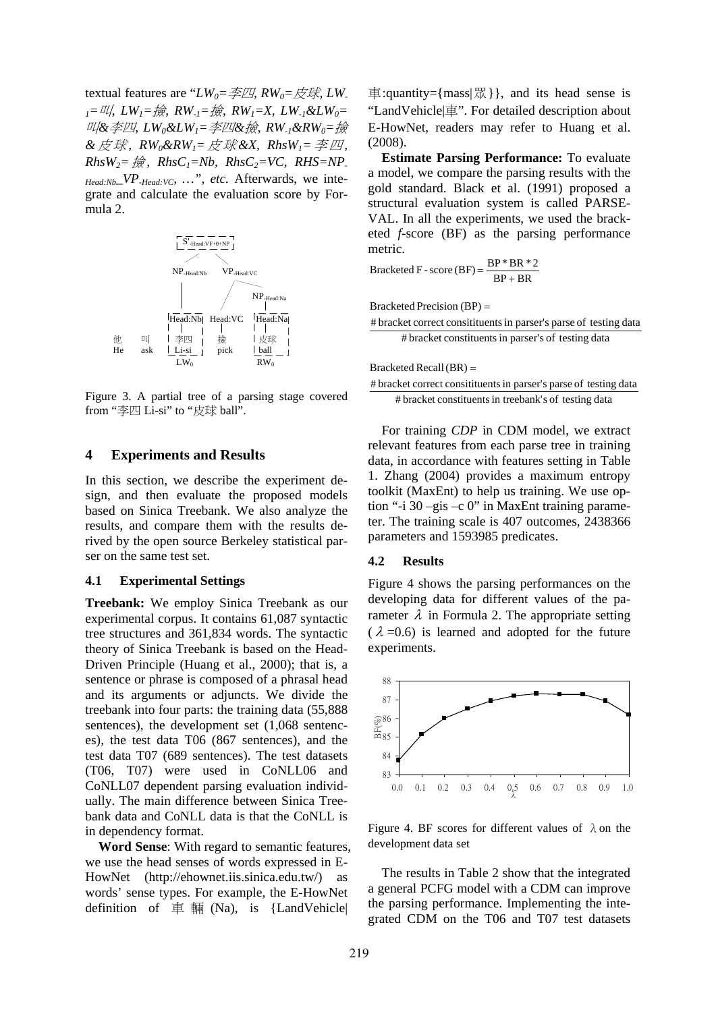textual features are " $LW_0 = \cancel{\pm} \mathbb{Z}$ ,  $RW_0 = \cancel{\pm} \mathbb{Z}$ ,  $LW_0$ *1=*叫*, LW1=*撿*, RW-1=*撿*, RW1=X, LW-1&LW0=* 叫*&*李四*, LW0&LW1=*李四*&*撿*, RW-1&RW0=*撿 *&*皮 球*, RW0&RW1=*皮 球 *&X, RhsW1=*李 四*,*   $Rh_sW_2 = \frac{1}{R\Re}$ ,  $Rh_sC_1 = Nb$ ,  $Rh_sC_2 = VC$ ,  $RHS = NP$ . *Head:Nb\_VP-Head:VC, …", etc.* Afterwards, we integrate and calculate the evaluation score by Formula 2.



Figure 3. A partial tree of a parsing stage covered from "李四 Li-si" to "皮球 ball".

#### **4 Experiments and Results**

In this section, we describe the experiment design, and then evaluate the proposed models based on Sinica Treebank. We also analyze the results, and compare them with the results derived by the open source Berkeley statistical parser on the same test set.

#### **4.1 Experimental Settings**

**Treebank:** We employ Sinica Treebank as our experimental corpus. It contains 61,087 syntactic tree structures and 361,834 words. The syntactic theory of Sinica Treebank is based on the Head-Driven Principle (Huang et al., 2000); that is, a sentence or phrase is composed of a phrasal head and its arguments or adjuncts. We divide the treebank into four parts: the training data (55,888 sentences), the development set (1,068 sentences), the test data T06 (867 sentences), and the test data T07 (689 sentences). The test datasets (T06, T07) were used in CoNLL06 and CoNLL07 dependent parsing evaluation individually. The main difference between Sinica Treebank data and CoNLL data is that the CoNLL is in dependency format.

**Word Sense**: With regard to semantic features, we use the head senses of words expressed in E-HowNet (http://ehownet.iis.sinica.edu.tw/) as words' sense types. For example, the E-HowNet definition of 車 輛  $(Na)$ , is {LandVehicle}

 $\overline{\text{ }}=$  :quantity={mass| $\mathbb{R}$ }, and its head sense is "LandVehicle|車". For detailed description about E-HowNet, readers may refer to Huang et al. (2008).

**Estimate Parsing Performance:** To evaluate a model, we compare the parsing results with the gold standard. Black et al. (1991) proposed a structural evaluation system is called PARSE-VAL. In all the experiments, we used the bracketed *f*-score (BF) as the parsing performance metric.

 $Bracketed F - score(BF) = \frac{BP * BR * 2}{BP + BR}$ 

Bracketed Precision (BP)

# bracket constituentsin parser's of testing data # bracket correct consitituents in parser's parse of testing data

Bracketed Recall  $(BR)$  =

# bracket constituents in treebank's of testing data # bracket correct consitituents in parser's parse of testing data

For training *CDP* in CDM model, we extract relevant features from each parse tree in training data, in accordance with features setting in Table 1. Zhang (2004) provides a maximum entropy toolkit (MaxEnt) to help us training. We use option "-i 30 –gis –c 0" in MaxEnt training parameter. The training scale is 407 outcomes, 2438366 parameters and 1593985 predicates.

#### **4.2 Results**

Figure 4 shows the parsing performances on the developing data for different values of the parameter  $\lambda$  in Formula 2. The appropriate setting  $(\lambda = 0.6)$  is learned and adopted for the future experiments.



Figure 4. BF scores for different values of  $\lambda$  on the development data set

The results in Table 2 show that the integrated a general PCFG model with a CDM can improve the parsing performance. Implementing the integrated CDM on the T06 and T07 test datasets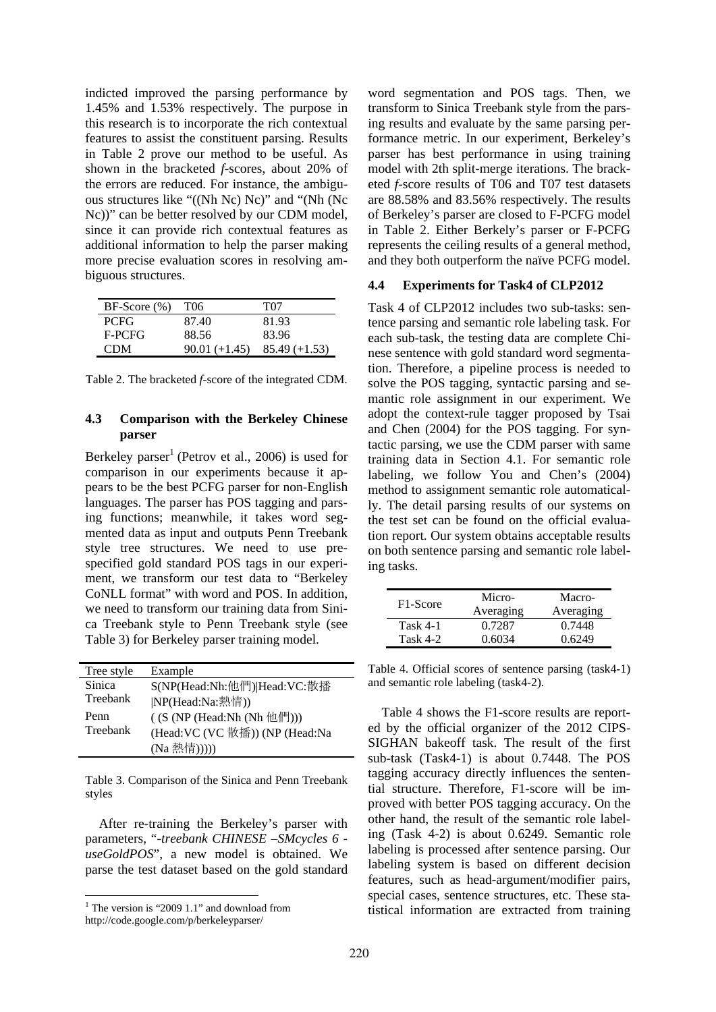indicted improved the parsing performance by 1.45% and 1.53% respectively. The purpose in this research is to incorporate the rich contextual features to assist the constituent parsing. Results in Table 2 prove our method to be useful. As shown in the bracketed *f*-scores, about 20% of the errors are reduced. For instance, the ambiguous structures like "((Nh Nc) Nc)" and "(Nh (Nc Nc))" can be better resolved by our CDM model, since it can provide rich contextual features as additional information to help the parser making more precise evaluation scores in resolving ambiguous structures.

| $BF-Score(%)$ | T06             | T07             |
|---------------|-----------------|-----------------|
| <b>PCFG</b>   | 87.40           | 81.93           |
| F-PCFG        | 88.56           | 83.96           |
| <b>CDM</b>    | $90.01 (+1.45)$ | $85.49 (+1.53)$ |

Table 2. The bracketed *f*-score of the integrated CDM.

# **4.3 Comparison with the Berkeley Chinese parser**

Berkeley parser<sup>1</sup> (Petrov et al., 2006) is used for comparison in our experiments because it appears to be the best PCFG parser for non-English languages. The parser has POS tagging and parsing functions; meanwhile, it takes word segmented data as input and outputs Penn Treebank style tree structures. We need to use prespecified gold standard POS tags in our experiment, we transform our test data to "Berkeley CoNLL format" with word and POS. In addition, we need to transform our training data from Sinica Treebank style to Penn Treebank style (see Table 3) for Berkeley parser training model.

| Tree style | Example                          |
|------------|----------------------------------|
| Sinica     | S(NP(Head:Nh:他們) Head:VC:散播      |
| Treebank   | NP(Head:Na:熱情))                  |
| Penn       | $($ (S (NP (Head:Nh (Nh 他們)))    |
| Treebank   | (Head: VC (VC 散播)) (NP (Head: Na |
|            | (Na 熱情)))))                      |

Table 3. Comparison of the Sinica and Penn Treebank styles

After re-training the Berkeley's parser with parameters, "*-treebank CHINESE –SMcycles 6 useGoldPOS*", a new model is obtained. We parse the test dataset based on the gold standard

http://code.google.com/p/berkeleyparser/

word segmentation and POS tags. Then, we transform to Sinica Treebank style from the parsing results and evaluate by the same parsing performance metric. In our experiment, Berkeley's parser has best performance in using training model with 2th split-merge iterations. The bracketed *f*-score results of T06 and T07 test datasets are 88.58% and 83.56% respectively. The results of Berkeley's parser are closed to F-PCFG model in Table 2. Either Berkely's parser or F-PCFG represents the ceiling results of a general method, and they both outperform the naïve PCFG model.

### **4.4 Experiments for Task4 of CLP2012**

Task 4 of CLP2012 includes two sub-tasks: sentence parsing and semantic role labeling task. For each sub-task, the testing data are complete Chinese sentence with gold standard word segmentation. Therefore, a pipeline process is needed to solve the POS tagging, syntactic parsing and semantic role assignment in our experiment. We adopt the context-rule tagger proposed by Tsai and Chen (2004) for the POS tagging. For syntactic parsing, we use the CDM parser with same training data in Section 4.1. For semantic role labeling, we follow You and Chen's (2004) method to assignment semantic role automatically. The detail parsing results of our systems on the test set can be found on the official evaluation report. Our system obtains acceptable results on both sentence parsing and semantic role labeling tasks.

| F <sub>1</sub> -Score | Micro-    | Macro-    |
|-----------------------|-----------|-----------|
|                       | Averaging | Averaging |
| Task $4-1$            | 0.7287    | 0.7448    |
| Task $4-2$            | 0.6034    | 0.6249    |

Table 4. Official scores of sentence parsing (task4-1) and semantic role labeling (task4-2).

Table 4 shows the F1-score results are reported by the official organizer of the 2012 CIPS-SIGHAN bakeoff task. The result of the first sub-task (Task4-1) is about 0.7448. The POS tagging accuracy directly influences the sentential structure. Therefore, F1-score will be improved with better POS tagging accuracy. On the other hand, the result of the semantic role labeling (Task 4-2) is about 0.6249. Semantic role labeling is processed after sentence parsing. Our labeling system is based on different decision features, such as head-argument/modifier pairs, special cases, sentence structures, etc. These statistical information are extracted from training

<sup>&</sup>lt;sup>1</sup> The version is "2009 1.1" and download from